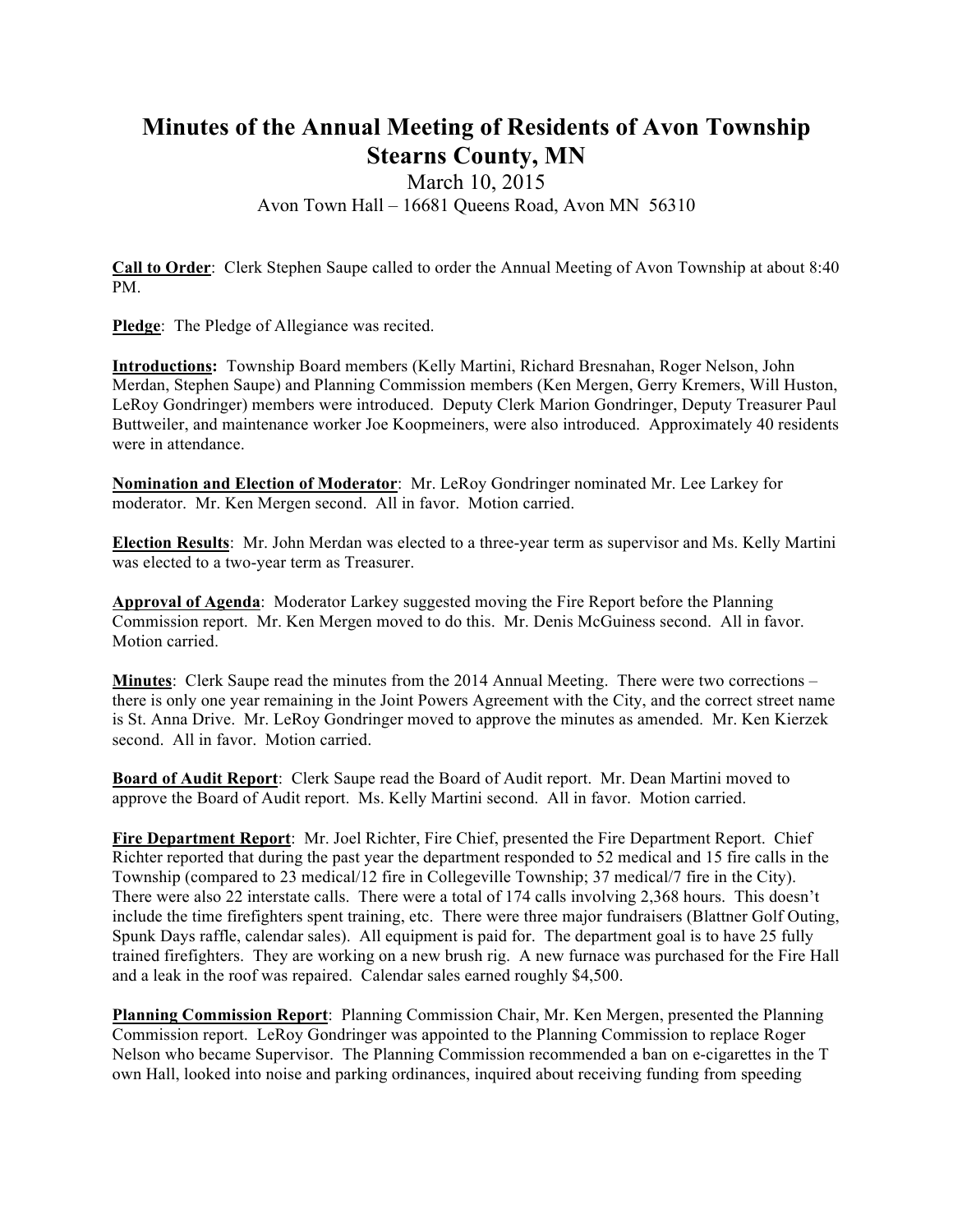## **Minutes of the Annual Meeting of Residents of Avon Township Stearns County, MN**

## March 10, 2015 Avon Town Hall – 16681 Queens Road, Avon MN 56310

**Call to Order**: Clerk Stephen Saupe called to order the Annual Meeting of Avon Township at about 8:40 PM.

**Pledge**: The Pledge of Allegiance was recited.

**Introductions:** Township Board members (Kelly Martini, Richard Bresnahan, Roger Nelson, John Merdan, Stephen Saupe) and Planning Commission members (Ken Mergen, Gerry Kremers, Will Huston, LeRoy Gondringer) members were introduced. Deputy Clerk Marion Gondringer, Deputy Treasurer Paul Buttweiler, and maintenance worker Joe Koopmeiners, were also introduced. Approximately 40 residents were in attendance.

**Nomination and Election of Moderator**: Mr. LeRoy Gondringer nominated Mr. Lee Larkey for moderator. Mr. Ken Mergen second. All in favor. Motion carried.

**Election Results**: Mr. John Merdan was elected to a three-year term as supervisor and Ms. Kelly Martini was elected to a two-year term as Treasurer.

**Approval of Agenda**: Moderator Larkey suggested moving the Fire Report before the Planning Commission report. Mr. Ken Mergen moved to do this. Mr. Denis McGuiness second. All in favor. Motion carried.

**Minutes**: Clerk Saupe read the minutes from the 2014 Annual Meeting. There were two corrections – there is only one year remaining in the Joint Powers Agreement with the City, and the correct street name is St. Anna Drive. Mr. LeRoy Gondringer moved to approve the minutes as amended. Mr. Ken Kierzek second. All in favor. Motion carried.

**Board of Audit Report**: Clerk Saupe read the Board of Audit report. Mr. Dean Martini moved to approve the Board of Audit report. Ms. Kelly Martini second. All in favor. Motion carried.

**Fire Department Report**: Mr. Joel Richter, Fire Chief, presented the Fire Department Report. Chief Richter reported that during the past year the department responded to 52 medical and 15 fire calls in the Township (compared to 23 medical/12 fire in Collegeville Township; 37 medical/7 fire in the City). There were also 22 interstate calls. There were a total of 174 calls involving 2,368 hours. This doesn't include the time firefighters spent training, etc. There were three major fundraisers (Blattner Golf Outing, Spunk Days raffle, calendar sales). All equipment is paid for. The department goal is to have 25 fully trained firefighters. They are working on a new brush rig. A new furnace was purchased for the Fire Hall and a leak in the roof was repaired. Calendar sales earned roughly \$4,500.

**Planning Commission Report**: Planning Commission Chair, Mr. Ken Mergen, presented the Planning Commission report. LeRoy Gondringer was appointed to the Planning Commission to replace Roger Nelson who became Supervisor. The Planning Commission recommended a ban on e-cigarettes in the T own Hall, looked into noise and parking ordinances, inquired about receiving funding from speeding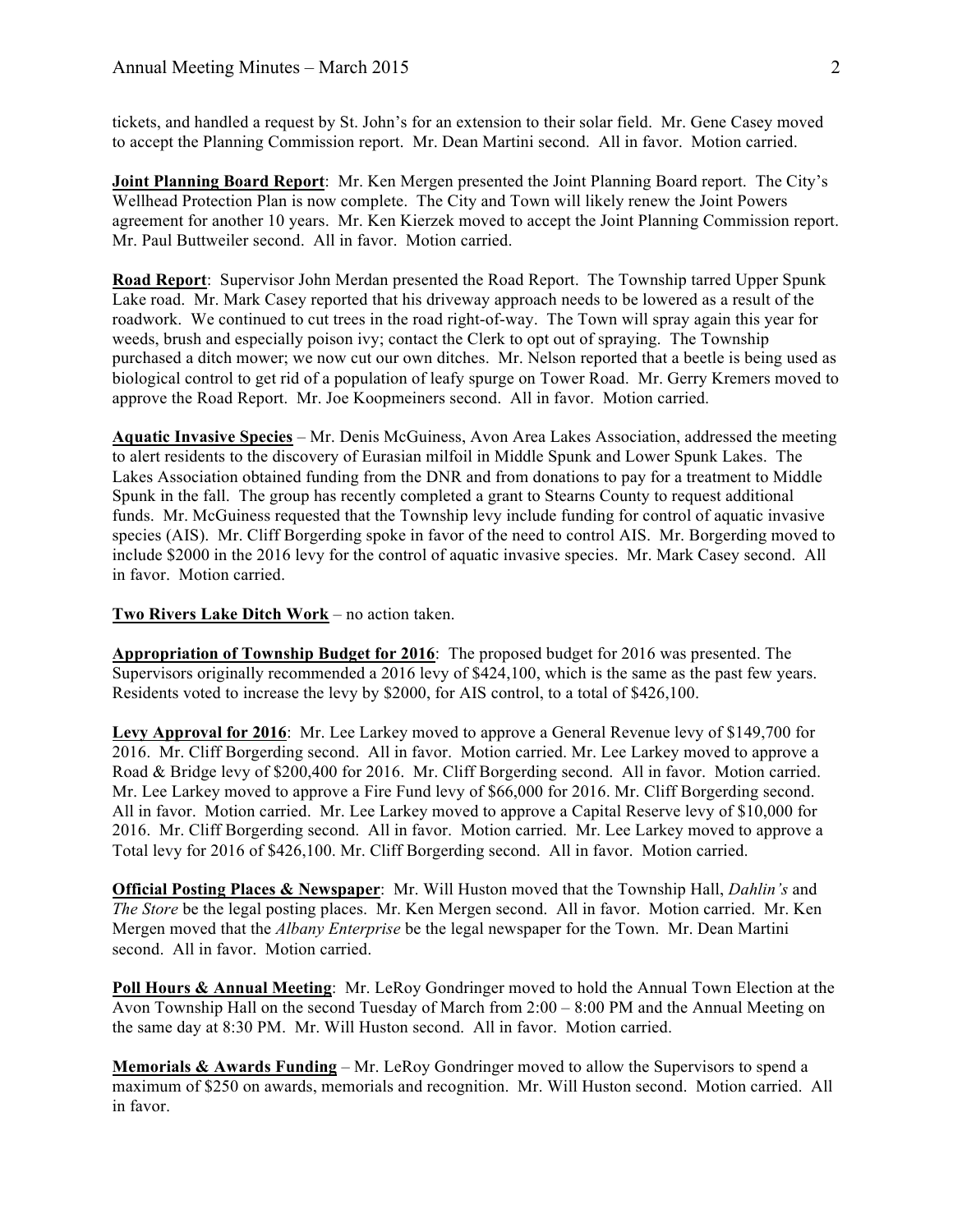tickets, and handled a request by St. John's for an extension to their solar field. Mr. Gene Casey moved to accept the Planning Commission report. Mr. Dean Martini second. All in favor. Motion carried.

**Joint Planning Board Report**: Mr. Ken Mergen presented the Joint Planning Board report. The City's Wellhead Protection Plan is now complete. The City and Town will likely renew the Joint Powers agreement for another 10 years. Mr. Ken Kierzek moved to accept the Joint Planning Commission report. Mr. Paul Buttweiler second. All in favor. Motion carried.

**Road Report**: Supervisor John Merdan presented the Road Report. The Township tarred Upper Spunk Lake road. Mr. Mark Casey reported that his driveway approach needs to be lowered as a result of the roadwork. We continued to cut trees in the road right-of-way. The Town will spray again this year for weeds, brush and especially poison ivy; contact the Clerk to opt out of spraying. The Township purchased a ditch mower; we now cut our own ditches. Mr. Nelson reported that a beetle is being used as biological control to get rid of a population of leafy spurge on Tower Road. Mr. Gerry Kremers moved to approve the Road Report. Mr. Joe Koopmeiners second. All in favor. Motion carried.

**Aquatic Invasive Species** – Mr. Denis McGuiness, Avon Area Lakes Association, addressed the meeting to alert residents to the discovery of Eurasian milfoil in Middle Spunk and Lower Spunk Lakes. The Lakes Association obtained funding from the DNR and from donations to pay for a treatment to Middle Spunk in the fall. The group has recently completed a grant to Stearns County to request additional funds. Mr. McGuiness requested that the Township levy include funding for control of aquatic invasive species (AIS). Mr. Cliff Borgerding spoke in favor of the need to control AIS. Mr. Borgerding moved to include \$2000 in the 2016 levy for the control of aquatic invasive species. Mr. Mark Casey second. All in favor. Motion carried.

## **Two Rivers Lake Ditch Work** – no action taken.

**Appropriation of Township Budget for 2016**: The proposed budget for 2016 was presented. The Supervisors originally recommended a 2016 levy of \$424,100, which is the same as the past few years. Residents voted to increase the levy by \$2000, for AIS control, to a total of \$426,100.

**Levy Approval for 2016**: Mr. Lee Larkey moved to approve a General Revenue levy of \$149,700 for 2016. Mr. Cliff Borgerding second. All in favor. Motion carried. Mr. Lee Larkey moved to approve a Road & Bridge levy of \$200,400 for 2016. Mr. Cliff Borgerding second. All in favor. Motion carried. Mr. Lee Larkey moved to approve a Fire Fund levy of \$66,000 for 2016. Mr. Cliff Borgerding second. All in favor. Motion carried. Mr. Lee Larkey moved to approve a Capital Reserve levy of \$10,000 for 2016. Mr. Cliff Borgerding second. All in favor. Motion carried. Mr. Lee Larkey moved to approve a Total levy for 2016 of \$426,100. Mr. Cliff Borgerding second. All in favor. Motion carried.

**Official Posting Places & Newspaper**: Mr. Will Huston moved that the Township Hall, *Dahlin's* and *The Store* be the legal posting places. Mr. Ken Mergen second. All in favor. Motion carried. Mr. Ken Mergen moved that the *Albany Enterprise* be the legal newspaper for the Town. Mr. Dean Martini second. All in favor. Motion carried.

**Poll Hours & Annual Meeting**: Mr. LeRoy Gondringer moved to hold the Annual Town Election at the Avon Township Hall on the second Tuesday of March from 2:00 – 8:00 PM and the Annual Meeting on the same day at 8:30 PM. Mr. Will Huston second. All in favor. Motion carried.

**Memorials & Awards Funding** – Mr. LeRoy Gondringer moved to allow the Supervisors to spend a maximum of \$250 on awards, memorials and recognition. Mr. Will Huston second. Motion carried. All in favor.